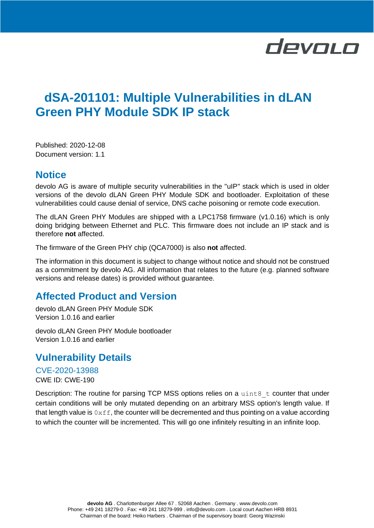# devolo

# **dSA-201101: Multiple Vulnerabilities in dLAN Green PHY Module SDK IP stack**

Published: 2020-12-08 Document version: 1.1

#### **Notice**

devolo AG is aware of multiple security vulnerabilities in the "uIP" stack which is used in older versions of the devolo dLAN Green PHY Module SDK and bootloader. Exploitation of these vulnerabilities could cause denial of service, DNS cache poisoning or remote code execution.

The dLAN Green PHY Modules are shipped with a LPC1758 firmware (v1.0.16) which is only doing bridging between Ethernet and PLC. This firmware does not include an IP stack and is therefore **not** affected.

The firmware of the Green PHY chip (QCA7000) is also **not** affected.

The information in this document is subject to change without notice and should not be construed as a commitment by devolo AG. All information that relates to the future (e.g. planned software versions and release dates) is provided without guarantee.

## **Affected Product and Version**

devolo dLAN Green PHY Module SDK Version 1.0.16 and earlier

devolo dLAN Green PHY Module bootloader Version 1.0.16 and earlier

### **Vulnerability Details**

CVE-2020-13988 CWE ID: CWE-190

Description: The routine for parsing TCP MSS options relies on a  $uint8$  t counter that under certain conditions will be only mutated depending on an arbitrary MSS option's length value. If that length value is  $0 \times f f$ , the counter will be decremented and thus pointing on a value according to which the counter will be incremented. This will go one infinitely resulting in an infinite loop.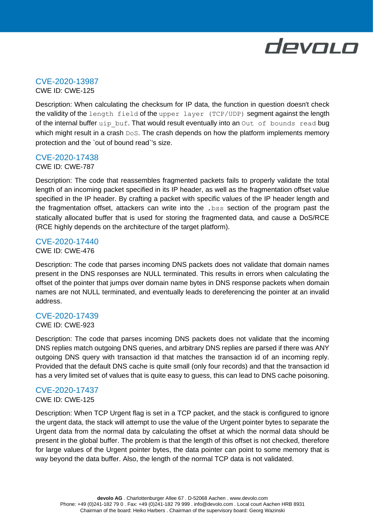

# CVE-2020-13987

CWE ID: CWE-125

Description: When calculating the checksum for IP data, the function in question doesn't check the validity of the length field of the upper layer (TCP/UDP) segment against the length of the internal buffer  $\text{uip}\,$  buf. That would result eventually into an Out of bounds read bug which might result in a crash DoS. The crash depends on how the platform implements memory protection and the `out of bound read`'s size.

#### CVE-2020-17438

CWE ID: CWE-787

Description: The code that reassembles fragmented packets fails to properly validate the total length of an incoming packet specified in its IP header, as well as the fragmentation offset value specified in the IP header. By crafting a packet with specific values of the IP header length and the fragmentation offset, attackers can write into the .bss section of the program past the statically allocated buffer that is used for storing the fragmented data, and cause a DoS/RCE (RCE highly depends on the architecture of the target platform).

#### CVE-2020-17440 CWE ID: CWE-476

Description: The code that parses incoming DNS packets does not validate that domain names present in the DNS responses are NULL terminated. This results in errors when calculating the offset of the pointer that jumps over domain name bytes in DNS response packets when domain names are not NULL terminated, and eventually leads to dereferencing the pointer at an invalid address.

#### CVE-2020-17439

#### CWE ID: CWE-923

Description: The code that parses incoming DNS packets does not validate that the incoming DNS replies match outgoing DNS queries, and arbitrary DNS replies are parsed if there was ANY outgoing DNS query with transaction id that matches the transaction id of an incoming reply. Provided that the default DNS cache is quite small (only four records) and that the transaction id has a very limited set of values that is quite easy to guess, this can lead to DNS cache poisoning.

#### CVE-2020-17437

#### CWE ID: CWE-125

Description: When TCP Urgent flag is set in a TCP packet, and the stack is configured to ignore the urgent data, the stack will attempt to use the value of the Urgent pointer bytes to separate the Urgent data from the normal data by calculating the offset at which the normal data should be present in the global buffer. The problem is that the length of this offset is not checked, therefore for large values of the Urgent pointer bytes, the data pointer can point to some memory that is way beyond the data buffer. Also, the length of the normal TCP data is not validated.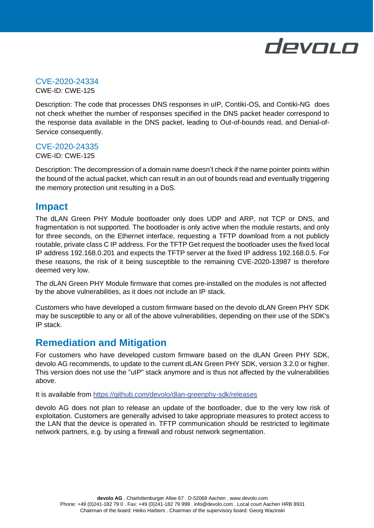

# CVE-2020-24334

CWE-ID: CWE-125

Description: The code that processes DNS responses in uIP, Contiki-OS, and Contiki-NG does not check whether the number of responses specified in the DNS packet header correspond to the response data available in the DNS packet, leading to Out-of-bounds read, and Denial-of-Service consequently.

#### CVE-2020-24335

CWE-ID: CWE-125

Description: The decompression of a domain name doesn't check if the name pointer points within the bound of the actual packet, which can result in an out of bounds read and eventually triggering the memory protection unit resulting in a DoS.

### **Impact**

The dLAN Green PHY Module bootloader only does UDP and ARP, not TCP or DNS, and fragmentation is not supported. The bootloader is only active when the module restarts, and only for three seconds, on the Ethernet interface, requesting a TFTP download from a not publicly routable, private class C IP address. For the TFTP Get request the bootloader uses the fixed local IP address 192.168.0.201 and expects the TFTP server at the fixed IP address 192.168.0.5. For these reasons, the risk of it being susceptible to the remaining CVE-2020-13987 is therefore deemed very low.

The dLAN Green PHY Module firmware that comes pre-installed on the modules is not affected by the above vulnerabilities, as it does not include an IP stack.

Customers who have developed a custom firmware based on the devolo dLAN Green PHY SDK may be susceptible to any or all of the above vulnerabilities, depending on their use of the SDK's IP stack.

### **Remediation and Mitigation**

For customers who have developed custom firmware based on the dLAN Green PHY SDK, devolo AG recommends, to update to the current dLAN Green PHY SDK, version 3.2.0 or higher. This version does not use the "uIP" stack anymore and is thus not affected by the vulnerabilities above.

It is available from<https://github.com/devolo/dlan-greenphy-sdk/releases>

devolo AG does not plan to release an update of the bootloader, due to the very low risk of exploitation. Customers are generally advised to take appropriate measures to protect access to the LAN that the device is operated in. TFTP communication should be restricted to legitimate network partners, e.g. by using a firewall and robust network segmentation.